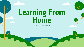# Learning From Home

Junior Team, Week 1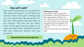#### How will it work?

Each week we will send out a powerpoint with some activities to do. All tasks are optional. There will be lots of things that you can choose from. We would love it if you took some photos and sent them to your teacher, that way we can share some of the great learning going on at home with each other. Please be in touch with your classroom teacher with any questions.

#### Catching up on Zoom

Class teachers will be online each day between 11:00 and 11:30am and then again between 2:30pm and 3pm. Please pop online when it suits you to hear a story, share some news and spend some time together. We would love to see you when you can make it!

You will see the links on the following slide.

We can't wait to see what you get up to!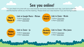### See you online!

You can check in to chat with your class teacher and some classmates each day. Just clock on the link and the teacher will let you into the meeting. Please email your class teacher if you are having trouble.



#### Link to Google Meets - Miriam

11:00am [Click here](http://meet.google.com/npz-vwhr-dks) 2:30pm [Click here](http://meet.google.com/jxs-igsq-mtc)

Link to Zoom - Nicola 11:00am [Click here](http://meet.google.com/ijt-fsmx-dad) 2:30pm [Click here](http://meet.google.com/uez-mdge-wyg) [Ti Kouka](http://meet.google.com/uck-oopc-ets) Room 6



Link to Zoom - Jo 11:00am [Click here](http://meet.google.com/qtv-egmz-rxe)

2:30pm [Click here](http://meet.google.com/whz-sbdp-nzi)

**Harakeke** Room 5

Link to Zoom - Miss Jones 11:00am [Click here](http://meet.google.com/bhf-njre-mft) 2:30pm [Click here](http://meet.google.com/gjq-xocu-dcc)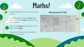### Maths!

Choose something in your house, e.g. a shoe, a spoon,

Can you find three things the same length, three things that are **longer** and three things that are **shorter**?



Which is the **shortest** thing you have found? Which is the **longest**?

Take a photo of what you have found and send it to your teacher!

#### Measurement Task

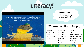# Literacy!

#### Whatever Next! **JILL MURPHY**



Watch the story and then choose a writing activity!

#### Whatever Next! By Jill Murphy

Create a comic about what happened in the story.

Write about what you would do if you you built a rocket and flew to the moon.

Create a diagram of your rocket ship and label the working parts or special features. You could even build it!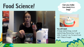### Food Science!



ice-cream in a bag?



You will need:

A large ziplock bag, a small ziplock bag, flavouring, 1 cup of milk, 3 cups of ice, ⅓ cup of rock salt, 1 tbsp of sugar.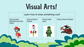### Visual Arts!

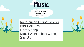### **Music**

Click on a song below and have a sing along!

[Ranginui and Papatuanuku](https://www.youtube.com/watch?v=EZd8DAU9_ts) [Bad Hair Day](https://www.youtube.com/watch?v=P-cuhv3DJKE) [Library Song](https://www.youtube.com/watch?v=Qk3C1SNvtSU) [Dad, I Want to be a Camel](https://www.youtube.com/watch?v=asVlgiNm8Ss) [Irish Jig](https://www.youtube.com/watch?v=AOLPNUBlSh4)

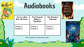## Audiobooks



**essential**modernalassias

Phantom Tollbooth **RTON JUSTER** 

| You're a Bad<br>Man, Mr Gum! | <b>The Firework</b><br>Maker's<br><b>Daughter</b> | <b>The Phantom</b><br><b>Tollbooth</b> |
|------------------------------|---------------------------------------------------|----------------------------------------|
| <u>Chapter 1</u>             | Chapter 1                                         | Chapter 1                              |
| <b>Chapter 2</b>             | Chapter <sub>2</sub>                              | <b>Chapter 2</b>                       |

 $5$ fanfon

New chapters coming each week!